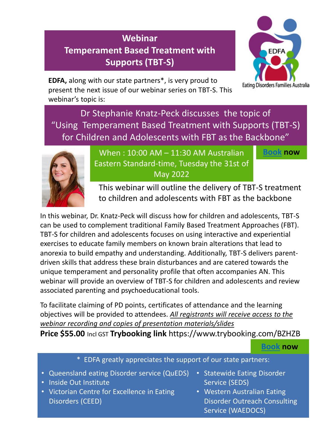# **Webinar Temperament Based Treatment with Supports (TBT-S)**



**EDFA,** along with our state partners\*, is very proud to present the next issue of our webinar series on TBT-S. This webinar's topic is:

Dr Stephanie Knatz-Peck discusses the topic of "Using Temperament Based Treatment with Supports (TBT-S) for Children and Adolescents with FBT as the Backbone"



When : 10:00 AM – 11:30 AM Australian Eastern Standard-time, Tuesday the 31st of May 2022

**Book now**

**Book now**

This webinar will outline the delivery of TBT-S treatment to children and adolescents with FBT as the backbone

In this webinar, Dr. Knatz-Peck will discuss how for children and adolescents, TBT-S can be used to complement traditional Family Based Treatment Approaches (FBT). TBT-S for children and adolescents focuses on using interactive and experiential exercises to educate family members on known brain alterations that lead to anorexia to build empathy and understanding. Additionally, TBT-S delivers parentdriven skills that address these brain disturbances and are catered towards the unique temperament and personality profile that often accompanies AN. This webinar will provide an overview of TBT-S for children and adolescents and review associated parenting and psychoeducational tools.

To facilitate claiming of PD points, certificates of attendance and the learning objectives will be provided to attendees. *All registrants will receive access to the webinar recording and copies of presentation materials/slides*

**Price \$55.00** Incl GST **Trybooking link** https://www.trybooking.com/BZHZB

# \* EDFA greatly appreciates the support of our state partners:

- Queensland eating Disorder service (QuEDS)
- Inside Out Institute
- Victorian Centre for Excellence in Eating Disorders (CEED)
- Statewide Eating Disorder Service (SEDS)
- Western Australian Eating Disorder Outreach Consulting Service (WAEDOCS)